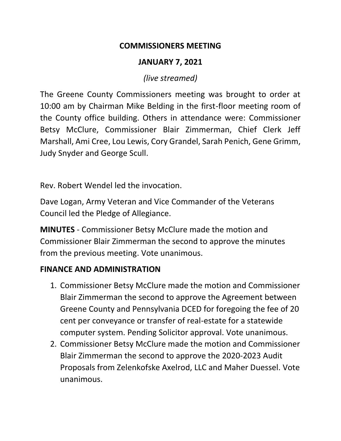#### **COMMISSIONERS MEETING**

## **JANUARY 7, 2021**

*(live streamed)*

The Greene County Commissioners meeting was brought to order at 10:00 am by Chairman Mike Belding in the first-floor meeting room of the County office building. Others in attendance were: Commissioner Betsy McClure, Commissioner Blair Zimmerman, Chief Clerk Jeff Marshall, Ami Cree, Lou Lewis, Cory Grandel, Sarah Penich, Gene Grimm, Judy Snyder and George Scull.

Rev. Robert Wendel led the invocation.

Dave Logan, Army Veteran and Vice Commander of the Veterans Council led the Pledge of Allegiance.

**MINUTES** - Commissioner Betsy McClure made the motion and Commissioner Blair Zimmerman the second to approve the minutes from the previous meeting. Vote unanimous.

## **FINANCE AND ADMINISTRATION**

- 1. Commissioner Betsy McClure made the motion and Commissioner Blair Zimmerman the second to approve the Agreement between Greene County and Pennsylvania DCED for foregoing the fee of 20 cent per conveyance or transfer of real-estate for a statewide computer system. Pending Solicitor approval. Vote unanimous.
- 2. Commissioner Betsy McClure made the motion and Commissioner Blair Zimmerman the second to approve the 2020-2023 Audit Proposals from Zelenkofske Axelrod, LLC and Maher Duessel. Vote unanimous.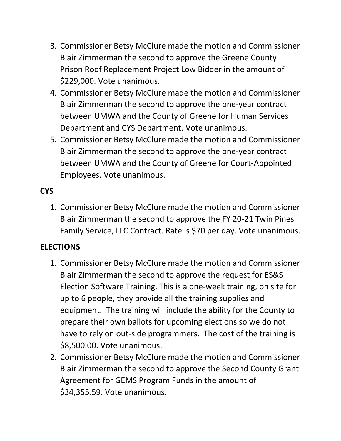- 3. Commissioner Betsy McClure made the motion and Commissioner Blair Zimmerman the second to approve the Greene County Prison Roof Replacement Project Low Bidder in the amount of \$229,000. Vote unanimous.
- 4. Commissioner Betsy McClure made the motion and Commissioner Blair Zimmerman the second to approve the one-year contract between UMWA and the County of Greene for Human Services Department and CYS Department. Vote unanimous.
- 5. Commissioner Betsy McClure made the motion and Commissioner Blair Zimmerman the second to approve the one-year contract between UMWA and the County of Greene for Court-Appointed Employees. Vote unanimous.

# **CYS**

1. Commissioner Betsy McClure made the motion and Commissioner Blair Zimmerman the second to approve the FY 20-21 Twin Pines Family Service, LLC Contract. Rate is \$70 per day. Vote unanimous.

## **ELECTIONS**

- 1. Commissioner Betsy McClure made the motion and Commissioner Blair Zimmerman the second to approve the request for ES&S Election Software Training. This is a one-week training, on site for up to 6 people, they provide all the training supplies and equipment. The training will include the ability for the County to prepare their own ballots for upcoming elections so we do not have to rely on out-side programmers. The cost of the training is \$8,500.00. Vote unanimous.
- 2. Commissioner Betsy McClure made the motion and Commissioner Blair Zimmerman the second to approve the Second County Grant Agreement for GEMS Program Funds in the amount of \$34,355.59. Vote unanimous.